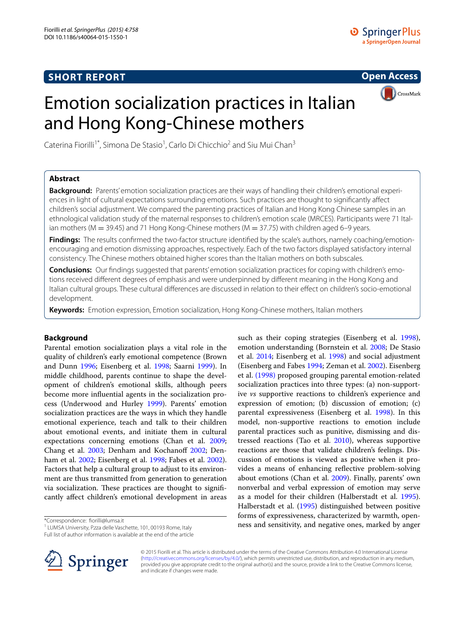# **SHORT REPORT**

**Open Access**

# Emotion socialization practices in Italian and Hong Kong-Chinese mothers



Caterina Fiorilli<sup>1\*</sup>, Simona De Stasio<sup>1</sup>, Carlo Di Chicchio<sup>2</sup> and Siu Mui Chan<sup>3</sup>

# **Abstract**

**Background:** Parents' emotion socialization practices are their ways of handling their children's emotional experiences in light of cultural expectations surrounding emotions. Such practices are thought to significantly affect children's social adjustment. We compared the parenting practices of Italian and Hong Kong Chinese samples in an ethnological validation study of the maternal responses to children's emotion scale (MRCES). Participants were 71 Italian mothers ( $M = 39.45$ ) and 71 Hong Kong-Chinese mothers ( $M = 37.75$ ) with children aged 6–9 years.

**Findings:** The results confirmed the two-factor structure identified by the scale's authors, namely coaching/emotionencouraging and emotion dismissing approaches, respectively. Each of the two factors displayed satisfactory internal consistency. The Chinese mothers obtained higher scores than the Italian mothers on both subscales.

**Conclusions:** Our findings suggested that parents' emotion socialization practices for coping with children's emotions received different degrees of emphasis and were underpinned by different meaning in the Hong Kong and Italian cultural groups. These cultural differences are discussed in relation to their effect on children's socio-emotional development.

**Keywords:** Emotion expression, Emotion socialization, Hong Kong-Chinese mothers, Italian mothers

# **Background**

Parental emotion socialization plays a vital role in the quality of children's early emotional competence (Brown and Dunn [1996;](#page-7-0) Eisenberg et al. [1998](#page-8-0); Saarni [1999\)](#page-8-1). In middle childhood, parents continue to shape the development of children's emotional skills, although peers become more influential agents in the socialization process (Underwood and Hurley [1999](#page-8-2)). Parents' emotion socialization practices are the ways in which they handle emotional experience, teach and talk to their children about emotional events, and initiate them in cultural expectations concerning emotions (Chan et al. [2009](#page-7-1); Chang et al. [2003](#page-7-2); Denham and Kochanoff [2002](#page-7-3); Denham et al. [2002](#page-8-3); Eisenberg et al. [1998](#page-8-0); Fabes et al. [2002](#page-8-4)). Factors that help a cultural group to adjust to its environment are thus transmitted from generation to generation via socialization. These practices are thought to significantly affect children's emotional development in areas

\*Correspondence: fiorilli@lumsa.it

<sup>1</sup> LUMSA University, P.zza delle Vaschette, 101, 00193 Rome, Italy

Full list of author information is available at the end of the article



such as their coping strategies (Eisenberg et al. [1998](#page-8-0)), emotion understanding (Bornstein et al. [2008;](#page-7-4) De Stasio et al. [2014](#page-7-5); Eisenberg et al. [1998\)](#page-8-0) and social adjustment (Eisenberg and Fabes [1994](#page-8-5); Zeman et al. [2002\)](#page-8-6). Eisenberg et al. [\(1998\)](#page-8-0) proposed grouping parental emotion-related socialization practices into three types: (a) non-supportive *vs* supportive reactions to children's experience and expression of emotion; (b) discussion of emotion; (c) parental expressiveness (Eisenberg et al. [1998](#page-8-0)). In this model, non-supportive reactions to emotion include parental practices such as punitive, dismissing and distressed reactions (Tao et al. [2010\)](#page-8-7), whereas supportive reactions are those that validate children's feelings. Discussion of emotions is viewed as positive when it provides a means of enhancing reflective problem-solving about emotions (Chan et al. [2009](#page-7-1)). Finally, parents' own nonverbal and verbal expression of emotion may serve as a model for their children (Halberstadt et al. [1995](#page-8-8)). Halberstadt et al. ([1995](#page-8-8)) distinguished between positive forms of expressiveness, characterized by warmth, openness and sensitivity, and negative ones, marked by anger

© 2015 Fiorilli et al. This article is distributed under the terms of the Creative Commons Attribution 4.0 International License [\(http://creativecommons.org/licenses/by/4.0/\)](http://creativecommons.org/licenses/by/4.0/), which permits unrestricted use, distribution, and reproduction in any medium, provided you give appropriate credit to the original author(s) and the source, provide a link to the Creative Commons license, and indicate if changes were made.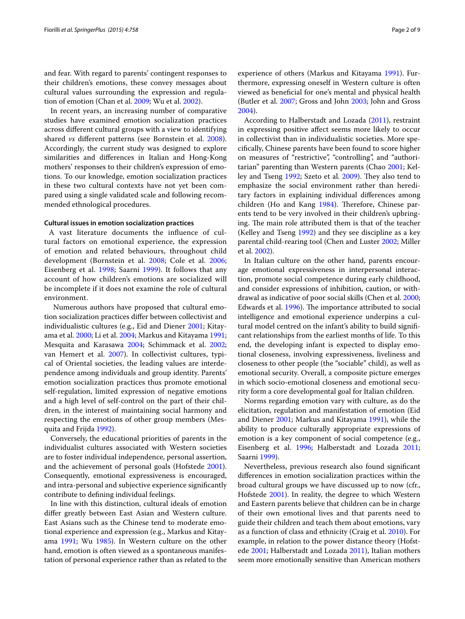and fear. With regard to parents' contingent responses to their children's emotions, these convey messages about cultural values surrounding the expression and regulation of emotion (Chan et al. [2009](#page-7-1); Wu et al. [2002](#page-8-9)).

In recent years, an increasing number of comparative studies have examined emotion socialization practices across different cultural groups with a view to identifying shared *vs* different patterns (see Bornstein et al. [2008](#page-7-4)). Accordingly, the current study was designed to explore similarities and differences in Italian and Hong-Kong mothers' responses to their children's expression of emotions. To our knowledge, emotion socialization practices in these two cultural contexts have not yet been compared using a single validated scale and following recommended ethnological procedures.

#### **Cultural issues in emotion socialization practices**

 A vast literature documents the influence of cultural factors on emotional experience, the expression of emotion and related behaviours, throughout child development (Bornstein et al. [2008;](#page-7-4) Cole et al. [2006](#page-7-6); Eisenberg et al. [1998](#page-8-0); Saarni [1999\)](#page-8-1). It follows that any account of how children's emotions are socialized will be incomplete if it does not examine the role of cultural environment.

 Numerous authors have proposed that cultural emotion socialization practices differ between collectivist and individualistic cultures (e.g., Eid and Diener [2001](#page-8-10); Kitayama et al. [2000;](#page-8-11) Li et al. [2004;](#page-8-12) Markus and Kitayama [1991](#page-8-13); Mesquita and Karasawa [2004;](#page-8-14) Schimmack et al. [2002](#page-8-15); van Hemert et al. [2007\)](#page-8-16). In collectivist cultures, typical of Oriental societies, the leading values are interdependence among individuals and group identity. Parents' emotion socialization practices thus promote emotional self-regulation, limited expression of negative emotions and a high level of self-control on the part of their children, in the interest of maintaining social harmony and respecting the emotions of other group members (Mesquita and Frijda [1992](#page-8-17)).

Conversely, the educational priorities of parents in the individualist cultures associated with Western societies are to foster individual independence, personal assertion, and the achievement of personal goals (Hofstede [2001](#page-8-18)). Consequently, emotional expressiveness is encouraged, and intra-personal and subjective experience significantly contribute to defining individual feelings.

In line with this distinction, cultural ideals of emotion differ greatly between East Asian and Western culture. East Asians such as the Chinese tend to moderate emotional experience and expression (e.g., Markus and Kitayama [1991;](#page-8-13) Wu [1985\)](#page-8-19). In Western culture on the other hand, emotion is often viewed as a spontaneous manifestation of personal experience rather than as related to the

experience of others (Markus and Kitayama [1991](#page-8-13)). Furthermore, expressing oneself in Western culture is often viewed as beneficial for one's mental and physical health (Butler et al. [2007](#page-7-7); Gross and John [2003;](#page-8-20) John and Gross [2004](#page-8-21)).

According to Halberstadt and Lozada ([2011](#page-8-22)), restraint in expressing positive affect seems more likely to occur in collectivist than in individualistic societies. More specifically, Chinese parents have been found to score higher on measures of "restrictive", "controlling", and "authoritarian" parenting than Western parents (Chao [2001](#page-7-8); Kelley and Tseng [1992;](#page-8-23) Szeto et al. [2009](#page-8-24)). They also tend to emphasize the social environment rather than hereditary factors in explaining individual differences among children (Ho and Kang [1984](#page-8-25)). Therefore, Chinese parents tend to be very involved in their children's upbringing. The main role attributed them is that of the teacher (Kelley and Tseng [1992\)](#page-8-23) and they see discipline as a key parental child-rearing tool (Chen and Luster [2002;](#page-7-9) Miller et al. [2002](#page-8-26)).

In Italian culture on the other hand, parents encourage emotional expressiveness in interpersonal interaction, promote social competence during early childhood, and consider expressions of inhibition, caution, or withdrawal as indicative of poor social skills (Chen et al. [2000](#page-7-10); Edwards et al. [1996\)](#page-8-27). The importance attributed to social intelligence and emotional experience underpins a cultural model centred on the infant's ability to build significant relationships from the earliest months of life. To this end, the developing infant is expected to display emotional closeness, involving expressiveness, liveliness and closeness to other people (the "sociable" child), as well as emotional security. Overall, a composite picture emerges in which socio-emotional closeness and emotional security form a core developmental goal for Italian children.

Norms regarding emotion vary with culture, as do the elicitation, regulation and manifestation of emotion (Eid and Diener [2001](#page-8-10); Markus and Kitayama [1991](#page-8-13)), while the ability to produce culturally appropriate expressions of emotion is a key component of social competence (e.g., Eisenberg et al. [1996;](#page-8-28) Halberstadt and Lozada [2011](#page-8-22); Saarni [1999\)](#page-8-1).

Nevertheless, previous research also found significant differences in emotion socialization practices within the broad cultural groups we have discussed up to now (cfr., Hofstede [2001\)](#page-8-18). In reality, the degree to which Western and Eastern parents believe that children can be in charge of their own emotional lives and that parents need to guide their children and teach them about emotions, vary as a function of class and ethnicity (Craig et al. [2010\)](#page-7-11). For example, in relation to the power distance theory (Hofstede [2001;](#page-8-18) Halberstadt and Lozada [2011\)](#page-8-22), Italian mothers seem more emotionally sensitive than American mothers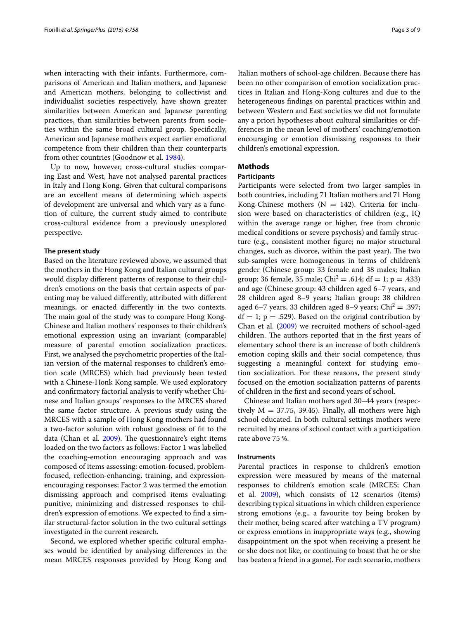when interacting with their infants. Furthermore, comparisons of American and Italian mothers, and Japanese and American mothers, belonging to collectivist and individualist societies respectively, have shown greater similarities between American and Japanese parenting practices, than similarities between parents from societies within the same broad cultural group. Specifically, American and Japanese mothers expect earlier emotional competence from their children than their counterparts from other countries (Goodnow et al. [1984](#page-8-29)).

Up to now, however, cross-cultural studies comparing East and West, have not analysed parental practices in Italy and Hong Kong. Given that cultural comparisons are an excellent means of determining which aspects of development are universal and which vary as a function of culture, the current study aimed to contribute cross-cultural evidence from a previously unexplored perspective.

#### **The present study**

Based on the literature reviewed above, we assumed that the mothers in the Hong Kong and Italian cultural groups would display different patterns of response to their children's emotions on the basis that certain aspects of parenting may be valued differently, attributed with different meanings, or enacted differently in the two contexts. The main goal of the study was to compare Hong Kong-Chinese and Italian mothers' responses to their children's emotional expression using an invariant (comparable) measure of parental emotion socialization practices. First, we analysed the psychometric properties of the Italian version of the maternal responses to children's emotion scale (MRCES) which had previously been tested with a Chinese-Honk Kong sample. We used exploratory and confirmatory factorial analysis to verify whether Chinese and Italian groups' responses to the MRCES shared the same factor structure. A previous study using the MRCES with a sample of Hong Kong mothers had found a two-factor solution with robust goodness of fit to the data (Chan et al. [2009\)](#page-7-1). The questionnaire's eight items loaded on the two factors as follows: Factor 1 was labelled the coaching-emotion encouraging approach and was composed of items assessing: emotion-focused, problemfocused, reflection-enhancing, training, and expressionencouraging responses; Factor 2 was termed the emotion dismissing approach and comprised items evaluating: punitive, minimizing and distressed responses to children's expression of emotions. We expected to find a similar structural-factor solution in the two cultural settings investigated in the current research.

Second, we explored whether specific cultural emphases would be identified by analysing differences in the mean MRCES responses provided by Hong Kong and Italian mothers of school-age children. Because there has been no other comparison of emotion socialization practices in Italian and Hong-Kong cultures and due to the heterogeneous findings on parental practices within and between Western and East societies we did not formulate any a priori hypotheses about cultural similarities or differences in the mean level of mothers' coaching/emotion encouraging or emotion dismissing responses to their children's emotional expression.

# **Methods**

#### **Participants**

Participants were selected from two larger samples in both countries, including 71 Italian mothers and 71 Hong Kong-Chinese mothers ( $N = 142$ ). Criteria for inclusion were based on characteristics of children (e.g., IQ within the average range or higher, free from chronic medical conditions or severe psychosis) and family structure (e.g., consistent mother figure; no major structural changes, such as divorce, within the past year). The two sub-samples were homogeneous in terms of children's gender (Chinese group: 33 female and 38 males; Italian group: 36 female, 35 male; Chi<sup>2</sup> = .614; df = 1; p = .433) and age (Chinese group: 43 children aged 6–7 years, and 28 children aged 8–9 years; Italian group: 38 children aged 6–7 years, 33 children aged 8–9 years;  $Chi^2 = .397$ ;  $df = 1$ ;  $p = .529$ ). Based on the original contribution by Chan et al. ([2009](#page-7-1)) we recruited mothers of school-aged children. The authors reported that in the first years of elementary school there is an increase of both children's emotion coping skills and their social competence, thus suggesting a meaningful context for studying emotion socialization. For these reasons, the present study focused on the emotion socialization patterns of parents of children in the first and second years of school.

Chinese and Italian mothers aged 30–44 years (respectively  $M = 37.75$ , 39.45). Finally, all mothers were high school educated. In both cultural settings mothers were recruited by means of school contact with a participation rate above 75 %.

#### **Instruments**

Parental practices in response to children's emotion expression were measured by means of the maternal responses to children's emotion scale (MRCES; Chan et al. [2009\)](#page-7-1), which consists of 12 scenarios (items) describing typical situations in which children experience strong emotions (e.g., a favourite toy being broken by their mother, being scared after watching a TV program) or express emotions in inappropriate ways (e.g., showing disappointment on the spot when receiving a present he or she does not like, or continuing to boast that he or she has beaten a friend in a game). For each scenario, mothers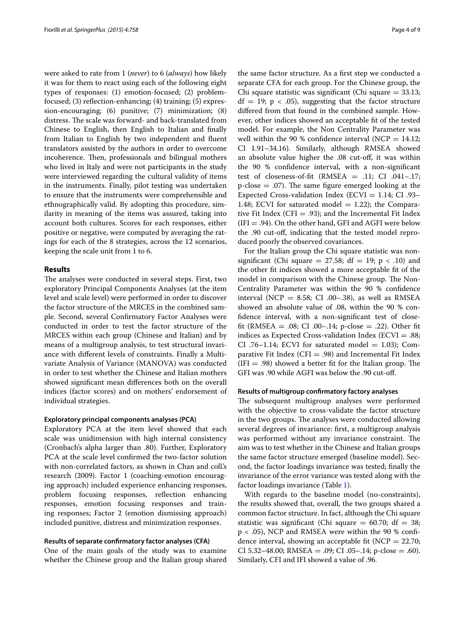were asked to rate from 1 (*never*) to 6 (*always*) how likely it was for them to react using each of the following eight types of responses: (1) emotion-focused; (2) problemfocused; (3) reflection-enhancing; (4) training; (5) expression-encouraging; (6) punitive; (7) minimization; (8) distress. The scale was forward- and back-translated from Chinese to English, then English to Italian and finally from Italian to English by two independent and fluent translators assisted by the authors in order to overcome incoherence. Then, professionals and bilingual mothers who lived in Italy and were not participants in the study were interviewed regarding the cultural validity of items in the instruments. Finally, pilot testing was undertaken to ensure that the instruments were comprehensible and ethnographically valid. By adopting this procedure, similarity in meaning of the items was assured, taking into account both cultures. Scores for each responses, either positive or negative, were computed by averaging the ratings for each of the 8 strategies, across the 12 scenarios, keeping the scale unit from 1 to 6.

#### **Results**

The analyses were conducted in several steps. First, two exploratory Principal Components Analyses (at the item level and scale level) were performed in order to discover the factor structure of the MRCES in the combined sample. Second, several Confirmatory Factor Analyses were conducted in order to test the factor structure of the MRCES within each group (Chinese and Italian) and by means of a multigroup analysis, to test structural invariance with different levels of constraints. Finally a Multivariate Analysis of Variance (MANOVA) was conducted in order to test whether the Chinese and Italian mothers showed significant mean differences both on the overall indices (factor scores) and on mothers' endorsement of individual strategies.

## **Exploratory principal components analyses (PCA)**

Exploratory PCA at the item level showed that each scale was unidimension with high internal consistency (Cronbach's alpha larger than .80). Further, Exploratory PCA at the scale level confirmed the two-factor solution with non-correlated factors, as shown in Chan and coll.'s research (2009). Factor 1 (coaching-emotion encouraging approach) included experience enhancing responses, problem focusing responses, reflection enhancing responses, emotion focusing responses and training responses; Factor 2 (emotion dismissing approach) included punitive, distress and minimization responses.

#### **Results of separate confirmatory factor analyses (CFA)**

One of the main goals of the study was to examine whether the Chinese group and the Italian group shared

the same factor structure. As a first step we conducted a separate CFA for each group. For the Chinese group, the Chi square statistic was significant (Chi square  $=$  33.13;  $df = 19$ ;  $p < .05$ ), suggesting that the factor structure differed from that found in the combined sample. However, other indices showed an acceptable fit of the tested model. For example, the Non Centrality Parameter was well within the 90 % confidence interval (NCP =  $14.12$ ; CI 1.91–34.16). Similarly, although RMSEA showed an absolute value higher the .08 cut-off, it was within the 90 % confidence interval, with a non-significant test of closeness-of-fit  $(RMSEA = .11; CI .041-.17;$  $p$ -close  $= .07$ ). The same figure emerged looking at the Expected Cross-validation Index (ECVI = 1.14; CI .93– 1.48; ECVI for saturated model  $= 1.22$ ); the Comparative Fit Index (CFI  $= .93$ ); and the Incremental Fit Index  $(IFI = .94)$ . On the other hand, GFI and AGFI were below the .90 cut-off, indicating that the tested model reproduced poorly the observed covariances.

For the Italian group the Chi square statistic was nonsignificant (Chi square  $= 27.58$ ; df  $= 19$ ; p  $< .10$ ) and the other fit indices showed a more acceptable fit of the model in comparison with the Chinese group. The Non-Centrality Parameter was within the 90 % confidence interval (NCP =  $8.58$ ; CI .00-.38), as well as RMSEA showed an absolute value of .08, within the 90 % confidence interval, with a non-significant test of closefit (RMSEA = .08; CI .00–.14; p-close = .22). Other fit indices as Expected Cross-validation Index ( $ECVI = .88$ ; CI .76–1.14; ECVI for saturated model  $= 1.03$ ; Comparative Fit Index (CFI  $= .98$ ) and Incremental Fit Index  $(IFI = .98)$  showed a better fit for the Italian group. The GFI was .90 while AGFI was below the .90 cut-off.

#### **Results of multigroup confirmatory factory analyses**

The subsequent multigroup analyses were performed with the objective to cross-validate the factor structure in the two groups. The analyses were conducted allowing several degrees of invariance: first, a multigroup analysis was performed without any invariance constraint. The aim was to test whether in the Chinese and Italian groups the same factor structure emerged (baseline model). Second, the factor loadings invariance was tested; finally the invariance of the error variance was tested along with the factor loadings invariance (Table [1\)](#page-4-0).

With regards to the baseline model (no-constraints), the results showed that, overall, the two groups shared a common factor structure. In fact, although the Chi square statistic was significant (Chi square  $= 60.70$ ; df  $= 38$ ; p < .05), NCP and RMSEA were within the 90 % confidence interval, showing an acceptable fit (NCP  $= 22.70$ ; CI 5.32–48.00; RMSEA = .09; CI .05–.14; p-close = .60). Similarly, CFI and IFI showed a value of .96.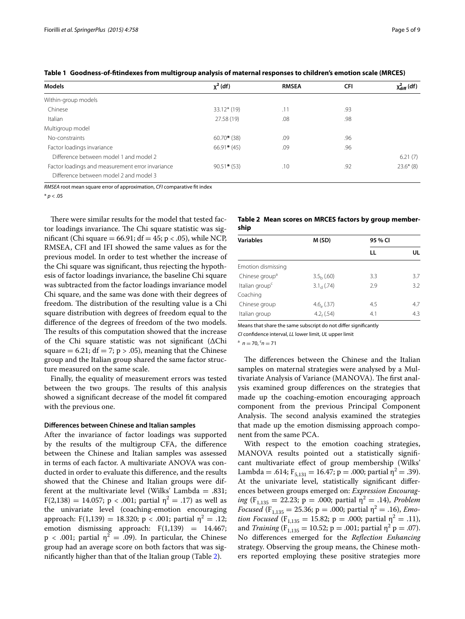| <b>Models</b>                                    | $\chi^2$ (df) | <b>RMSEA</b> | <b>CFI</b> | $\chi^2_{\text{diff}}$ (df) |
|--------------------------------------------------|---------------|--------------|------------|-----------------------------|
| Within-group models                              |               |              |            |                             |
| Chinese                                          | $33.12*(19)$  | .11          | .93        |                             |
| Italian                                          | 27.58 (19)    | .08          | .98        |                             |
| Multigroup model                                 |               |              |            |                             |
| No-constraints                                   | $60.70*$ (38) | .09          | .96        |                             |
| Factor loadings invariance                       | $66.91*(45)$  | .09          | .96        |                             |
| Difference between model 1 and model 2           |               |              |            | 6.21(7)                     |
| Factor loadings and measurement error invariance | $90.51*(53)$  | .10          | .92        | $23.6*(8)$                  |
| Difference between model 2 and model 3           |               |              |            |                             |

<span id="page-4-0"></span>**Table 1 Goodness-of-fitindexes from multigroup analysis of maternal responses to children's emotion scale (MRCES)**

*RMSEA* root mean square error of approximation, *CFI* comparative fit index

 $*$  *p* < .05

There were similar results for the model that tested factor loadings invariance. The Chi square statistic was significant (Chi square  $= 66.91$ ; df  $= 45$ ; p < .05), while NCP, RMSEA, CFI and IFI showed the same values as for the previous model. In order to test whether the increase of the Chi square was significant, thus rejecting the hypothesis of factor loadings invariance, the baseline Chi square was subtracted from the factor loadings invariance model Chi square, and the same was done with their degrees of freedom. The distribution of the resulting value is a Chi square distribution with degrees of freedom equal to the difference of the degrees of freedom of the two models. The results of this computation showed that the increase of the Chi square statistic was not significant (ΔChi square = 6.21;  $df = 7$ ;  $p > .05$ ), meaning that the Chinese group and the Italian group shared the same factor structure measured on the same scale.

Finally, the equality of measurement errors was tested between the two groups. The results of this analysis showed a significant decrease of the model fit compared with the previous one.

# **Differences between Chinese and Italian samples**

After the invariance of factor loadings was supported by the results of the multigroup CFA, the difference between the Chinese and Italian samples was assessed in terms of each factor. A multivariate ANOVA was conducted in order to evaluate this difference, and the results showed that the Chinese and Italian groups were different at the multivariate level (Wilks' Lambda =  $.831$ ; F(2,138) = 14.057; p < .001; partial  $\eta^2$  = .17) as well as the univariate level (coaching-emotion encouraging approach: F(1,139) = 18.320; p < .001; partial  $\eta^2 = .12$ ; emotion dismissing approach:  $F(1,139) = 14.467$ ;  $p < .001$ ; partial  $\eta^2 = .09$ ). In particular, the Chinese group had an average score on both factors that was significantly higher than that of the Italian group (Table [2](#page-4-1)).

# <span id="page-4-1"></span>**Table 2 Mean scores on MRCES factors by group membership**

| <b>Variables</b>           | M(SD)               | 95 % CI |     |
|----------------------------|---------------------|---------|-----|
|                            |                     | LL      | UL  |
| Emotion dismissing         |                     |         |     |
| Chinese group <sup>a</sup> | $3.5h$ (.60)        | 3.3     | 3.7 |
| Italian group <sup>c</sup> | $3.1_{d}$ (.74)     | 2.9     | 3.2 |
| Coaching                   |                     |         |     |
| Chinese group              | $4.6_{\circ}$ (.37) | 4.5     | 4.7 |
| Italian group              | $4.2_f(.54)$        | 4.1     | 4.3 |

Means that share the same subscript do not differ significantly

*CI* confidence interval, *LL* lower limit, *UL* upper limit

 $n = 70$ ,  $n = 71$ 

The differences between the Chinese and the Italian samples on maternal strategies were analysed by a Multivariate Analysis of Variance (MANOVA). The first analysis examined group differences on the strategies that made up the coaching-emotion encouraging approach component from the previous Principal Component Analysis. The second analysis examined the strategies that made up the emotion dismissing approach component from the same PCA.

With respect to the emotion coaching strategies, MANOVA results pointed out a statistically significant multivariate effect of group membership (Wilks' Lambda = .614;  $F_{5,131} = 16.47$ ; p = .000; partial  $\eta^2 = .39$ ). At the univariate level, statistically significant differences between groups emerged on: *Expression Encouraging* ( $F_{1,135} = 22.23$ ;  $p = .000$ ; partial  $\eta^2 = .14$ ), *Problem Focused* ( $F_{1,135} = 25.36$ ;  $p = .000$ ; partial  $\eta^2 = .16$ ), *Emotion Focused* (F<sub>1,135</sub> = 15.82; p = .000; partial  $\eta^2$  = .11), and *Training* ( $F_{1,135} = 10.52$ ;  $p = .001$ ; partial  $\eta^2 p = .07$ ). No differences emerged for the *Reflection Enhancing* strategy. Observing the group means, the Chinese mothers reported employing these positive strategies more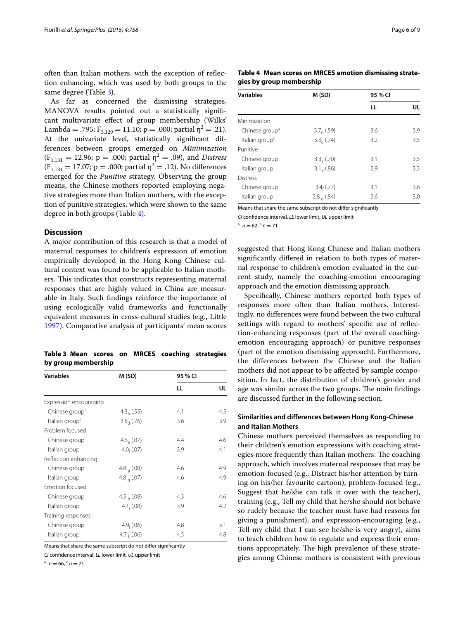often than Italian mothers, with the exception of reflection enhancing, which was used by both groups to the same degree (Table [3](#page-5-0)).

As far as concerned the dismissing strategies, MANOVA results pointed out a statistically significant multivariate effect of group membership (Wilks' Lambda = .795;  $F_{3,129} = 11.10$ ; p = .000; partial  $\eta^2 = .21$ ). At the univariate level, statistically significant differences between groups emerged on *Minimization*  $(F_{1,131} = 12.96; p = .000;$  partial  $\eta^2 = .09$ ), and *Distress*  $(F_{1,131} = 17.07; p = .000;$  partial  $\eta^2 = .12$ ). No differences emerged for the *Punitive* strategy. Observing the group means, the Chinese mothers reported employing negative strategies more than Italian mothers, with the exception of punitive strategies, which were shown to the same degree in both groups (Table [4](#page-5-1)).

# **Discussion**

A major contribution of this research is that a model of maternal responses to children's expression of emotion empirically developed in the Hong Kong Chinese cultural context was found to be applicable to Italian mothers. This indicates that constructs representing maternal responses that are highly valued in China are measurable in Italy. Such findings reinforce the importance of using ecologically valid frameworks and functionally equivalent measures in cross-cultural studies (e.g., Little [1997](#page-8-30)). Comparative analysis of participants' mean scores

<span id="page-5-0"></span>**Table 3 Mean scores on MRCES coaching strategies by group membership**

| <b>Variables</b>           | M (SD)                 | 95 % CI |     |
|----------------------------|------------------------|---------|-----|
|                            |                        | LL      | UL  |
| Expression encouraging     |                        |         |     |
| Chinese group <sup>a</sup> | $4.3h$ (.55)           | 4.1     | 4.5 |
| Italian group <sup>c</sup> | $3.8d$ (.76)           | 3.6     | 3.9 |
| Problem focused            |                        |         |     |
| Chinese group              | $4.5_{\circ}$ (.07)    | 4.4     | 4.6 |
| Italian group              | $4.0_{\epsilon}$ (.07) | 3.9     | 4.1 |
| Reflection enhancing       |                        |         |     |
| Chinese group              | 4.8 $_{\alpha}$ (.08)  | 4.6     | 4.9 |
| Italian group              | 4.8 $_{\alpha}$ (.07)  | 4.6     | 4.9 |
| Emotion focused            |                        |         |     |
| Chinese group              | 4.5 $_b$ (.08)         | 4.3     | 4.6 |
| Italian group              | $4.1_{i}$ (.08)        | 3.9     | 4.2 |
| Training responses         |                        |         |     |
| Chinese group              | 4.9 $(0.06)$           | 4.8     | 5.1 |
| Italian group              | 4.7 (06)               | 4.5     | 4.8 |

Means that share the same subscript do not differ significantly

*CI* confidence interval, *LL* lower limit, *UL* upper limit

 $n = 66$ ,  $n = 71$ 

<span id="page-5-1"></span>

|                          | Table 4 Mean scores on MRCES emotion dismissing strate- |  |
|--------------------------|---------------------------------------------------------|--|
| gies by group membership |                                                         |  |

| <b>Variables</b>           | M(SD)               | 95 % CI |     |
|----------------------------|---------------------|---------|-----|
|                            |                     | LL.     | UL  |
| Minimization               |                     |         |     |
| Chinese group <sup>a</sup> | $3.7h$ (.59)        | 3.6     | 3.9 |
| Italian group <sup>c</sup> | $3.3d$ (.74)        | 3.2     | 3.5 |
| Punitive                   |                     |         |     |
| Chinese group              | $3.3_{\circ}$ (.70) | 3.1     | 3.5 |
| Italian group              | $3.1_{\circ}$ (.86) | 2.9     | 3.3 |
| <b>Distress</b>            |                     |         |     |
| Chinese group              | $3.4_f(.77)$        | 3.1     | 3.6 |
| Italian group              | 2.8 $_{q}$ (.84)    | 2.6     | 3.0 |

Means that share the same subscript do not differ significantly

*CI* confidence interval, *LL* lower limit, *UL* upper limit

 $n = 62$ ,  $n = 71$ 

suggested that Hong Kong Chinese and Italian mothers significantly differed in relation to both types of maternal response to children's emotion evaluated in the current study, namely the coaching-emotion encouraging approach and the emotion dismissing approach.

Specifically, Chinese mothers reported both types of responses more often than Italian mothers. Interestingly, no differences were found between the two cultural settings with regard to mothers' specific use of reflection-enhancing responses (part of the overall coachingemotion encouraging approach) or punitive responses (part of the emotion dismissing approach). Furthermore, the differences between the Chinese and the Italian mothers did not appear to be affected by sample composition. In fact, the distribution of children's gender and age was similar across the two groups. The main findings are discussed further in the following section.

# **Similarities and differences between Hong Kong‑Chinese and Italian Mothers**

Chinese mothers perceived themselves as responding to their children's emotion expressions with coaching strategies more frequently than Italian mothers. The coaching approach, which involves maternal responses that may be emotion-focused (e.g., Distract his/her attention by turning on his/her favourite cartoon), problem-focused (e.g., Suggest that he/she can talk it over with the teacher), training (e.g., Tell my child that he/she should not behave so rudely because the teacher must have had reasons for giving a punishment), and expression-encouraging (e.g., Tell my child that I can see he/she is very angry), aims to teach children how to regulate and express their emotions appropriately. The high prevalence of these strategies among Chinese mothers is consistent with previous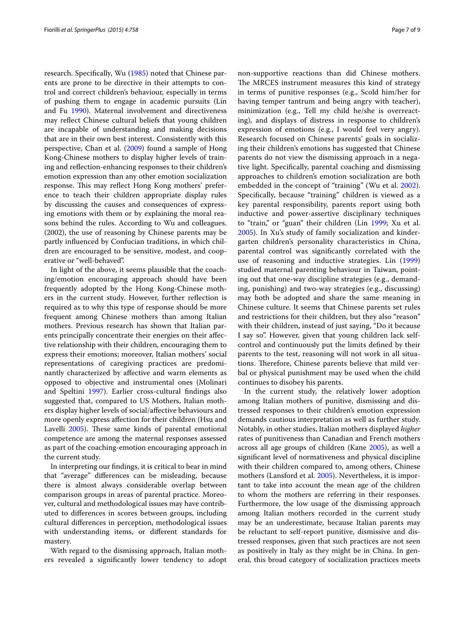research. Specifically, Wu [\(1985\)](#page-8-19) noted that Chinese parents are prone to be directive in their attempts to control and correct children's behaviour, especially in terms of pushing them to engage in academic pursuits (Lin and Fu [1990\)](#page-8-31). Maternal involvement and directiveness may reflect Chinese cultural beliefs that young children are incapable of understanding and making decisions that are in their own best interest. Consistently with this perspective, Chan et al. [\(2009\)](#page-7-1) found a sample of Hong Kong-Chinese mothers to display higher levels of training and reflection-enhancing responses to their children's emotion expression than any other emotion socialization response. This may reflect Hong Kong mothers' preference to teach their children appropriate display rules by discussing the causes and consequences of expressing emotions with them or by explaining the moral reasons behind the rules. According to Wu and colleagues. (2002), the use of reasoning by Chinese parents may be partly influenced by Confucian traditions, in which children are encouraged to be sensitive, modest, and cooperative or "well-behaved".

In light of the above, it seems plausible that the coaching/emotion encouraging approach should have been frequently adopted by the Hong Kong-Chinese mothers in the current study. However, further reflection is required as to why this type of response should be more frequent among Chinese mothers than among Italian mothers. Previous research has shown that Italian parents principally concentrate their energies on their affective relationship with their children, encouraging them to express their emotions; moreover, Italian mothers' social representations of caregiving practices are predominantly characterized by affective and warm elements as opposed to objective and instrumental ones (Molinari and Speltini [1997\)](#page-8-32). Earlier cross-cultural findings also suggested that, compared to US Mothers, Italian mothers display higher levels of social/affective behaviours and more openly express affection for their children (Hsu and Lavelli [2005\)](#page-8-33). These same kinds of parental emotional competence are among the maternal responses assessed as part of the coaching-emotion encouraging approach in the current study.

In interpreting our findings, it is critical to bear in mind that "average" differences can be misleading, because there is almost always considerable overlap between comparison groups in areas of parental practice. Moreover, cultural and methodological issues may have contributed to differences in scores between groups, including cultural differences in perception, methodological issues with understanding items, or different standards for mastery.

With regard to the dismissing approach, Italian mothers revealed a significantly lower tendency to adopt

non-supportive reactions than did Chinese mothers. The MRCES instrument measures this kind of strategy in terms of punitive responses (e.g., Scold him/her for having temper tantrum and being angry with teacher), minimization (e.g., Tell my child he/she is overreacting), and displays of distress in response to children's expression of emotions (e.g., I would feel very angry). Research focused on Chinese parents' goals in socializing their children's emotions has suggested that Chinese parents do not view the dismissing approach in a negative light. Specifically, parental coaching and dismissing approaches to children's emotion socialization are both embedded in the concept of "training" (Wu et al. [2002](#page-8-9)). Specifically, because "training" children is viewed as a key parental responsibility, parents report using both inductive and power-assertive disciplinary techniques to "train," or "guan" their children (Lin [1999](#page-8-34); Xu et al. [2005\)](#page-8-35). In Xu's study of family socialization and kindergarten children's personality characteristics in China, parental control was significantly correlated with the use of reasoning and inductive strategies. Lin ([1999](#page-8-34)) studied maternal parenting behaviour in Taiwan, pointing out that one-way discipline strategies (e.g., demanding, punishing) and two-way strategies (e.g., discussing) may both be adopted and share the same meaning in Chinese culture. It seems that Chinese parents set rules and restrictions for their children, but they also "reason" with their children, instead of just saying, "Do it because I say so". However, given that young children lack selfcontrol and continuously put the limits defined by their parents to the test, reasoning will not work in all situations. Therefore, Chinese parents believe that mild verbal or physical punishment may be used when the child continues to disobey his parents.

In the current study, the relatively lower adoption among Italian mothers of punitive, dismissing and distressed responses to their children's emotion expression demands cautious interpretation as well as further study. Notably, in other studies, Italian mothers displayed *higher* rates of punitiveness than Canadian and French mothers across all age groups of children (Kane [2005\)](#page-8-36), as well a significant level of normativeness and physical discipline with their children compared to, among others, Chinese mothers (Lansford et al. [2005](#page-8-37)). Nevertheless, it is important to take into account the mean age of the children to whom the mothers are referring in their responses. Furthermore, the low usage of the dismissing approach among Italian mothers recorded in the current study may be an underestimate, because Italian parents may be reluctant to self-report punitive, dismissive and distressed responses, given that such practices are not seen as positively in Italy as they might be in China. In general, this broad category of socialization practices meets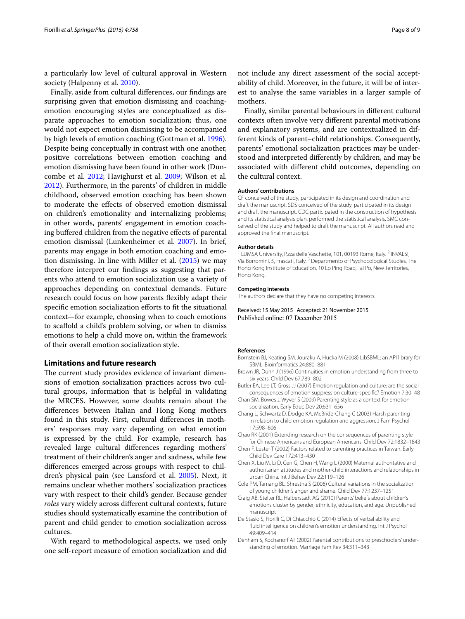a particularly low level of cultural approval in Western society (Halpenny et al. [2010\)](#page-8-38).

Finally, aside from cultural differences, our findings are surprising given that emotion dismissing and coachingemotion encouraging styles are conceptualized as disparate approaches to emotion socialization; thus, one would not expect emotion dismissing to be accompanied by high levels of emotion coaching (Gottman et al. [1996](#page-8-39)). Despite being conceptually in contrast with one another, positive correlations between emotion coaching and emotion dismissing have been found in other work (Duncombe et al. [2012;](#page-8-40) Havighurst et al. [2009;](#page-8-41) Wilson et al. [2012](#page-8-42)). Furthermore, in the parents' of children in middle childhood, observed emotion coaching has been shown to moderate the effects of observed emotion dismissal on children's emotionality and internalizing problems; in other words, parents' engagement in emotion coaching buffered children from the negative effects of parental emotion dismissal (Lunkenheimer et al. [2007](#page-8-43)). In brief, parents may engage in both emotion coaching and emotion dismissing. In line with Miller et al. ([2015](#page-8-44)) we may therefore interpret our findings as suggesting that parents who attend to emotion socialization use a variety of approaches depending on contextual demands. Future research could focus on how parents flexibly adapt their specific emotion socialization efforts to fit the situational context—for example, choosing when to coach emotions to scaffold a child's problem solving, or when to dismiss emotions to help a child move on, within the framework of their overall emotion socialization style.

# **Limitations and future research**

The current study provides evidence of invariant dimensions of emotion socialization practices across two cultural groups, information that is helpful in validating the MRCES. However, some doubts remain about the differences between Italian and Hong Kong mothers found in this study. First, cultural differences in mothers' responses may vary depending on what emotion is expressed by the child. For example, research has revealed large cultural differences regarding mothers' treatment of their children's anger and sadness, while few differences emerged across groups with respect to children's physical pain (see Lansford et al. [2005\)](#page-8-37). Next, it remains unclear whether mothers' socialization practices vary with respect to their child's gender. Because gender *roles* vary widely across different cultural contexts, future studies should systematically examine the contribution of parent and child gender to emotion socialization across cultures.

With regard to methodological aspects, we used only one self-report measure of emotion socialization and did

not include any direct assessment of the social acceptability of child. Moreover, in the future, it will be of interest to analyse the same variables in a larger sample of mothers.

Finally, similar parental behaviours in different cultural contexts often involve very different parental motivations and explanatory systems, and are contextualized in different kinds of parent–child relationships. Consequently, parents' emotional socialization practices may be understood and interpreted differently by children, and may be associated with different child outcomes, depending on the cultural context.

#### **Authors' contributions**

CF conceived of the study, participated in its design and coordination and draft the manuscript. SDS conceived of the study, participated in its design and draft the manuscript. CDC participated in the construction of hypothesis and its statistical analysis plan, performed the statistical analysis. SMC conceived of the study and helped to draft the manuscript. All authors read and approved the final manuscript.

#### **Author details**

<sup>1</sup> LUMSA University, P.zza delle Vaschette, 101, 00193 Rome, Italy. <sup>2</sup> INVALSI, Via Borromini, 5, Frascati, Italy. <sup>3</sup> Departmento of Psychocological Studies, The Hong Kong Institute of Education, 10 Lo Ping Road, Tai Po, New Territories, Hong Kong.

#### **Competing interests**

The authors declare that they have no competing interests.

Received: 15 May 2015 Accepted: 21 November 2015 Published online: 07 December 2015

#### **References**

- <span id="page-7-4"></span>Bornstein BJ, Keating SM, Jouraku A, Hucka M (2008) LibSBML: an API library for SBML. Bioinformatics 24:880–881
- <span id="page-7-0"></span>Brown JR, Dunn J (1996) Continuities in emotion understanding from three to six years. Child Dev 67:789–802
- <span id="page-7-7"></span>Butler EA, Lee LT, Gross JJ (2007) Emotion regulation and culture: are the social consequences of emotion suppression culture-specific? Emotion 7:30–48
- <span id="page-7-1"></span>Chan SM, Bowes J, Wyver S (2009) Parenting style as a context for emotion socialization. Early Educ Dev 20:631–656
- <span id="page-7-2"></span>Chang L, Schwartz D, Dodge KA, McBride-Chang C (2003) Harsh parenting in relation to child emotion regulation and aggression. J Fam Psychol 17:598–606
- <span id="page-7-8"></span>Chao RK (2001) Extending research on the consequences of parenting style for Chinese Americans and European Americans. Child Dev 72:1832–1843
- <span id="page-7-9"></span>Chen F, Luster T (2002) Factors related to parenting practices in Taiwan. Early Child Dev Care 172:413–430
- <span id="page-7-10"></span>Chen X, Liu M, Li D, Cen G, Chen H, Wang L (2000) Maternal authoritative and authoritarian attitudes and mother-child interactions and relationships in urban China. Int J Behav Dev 22:119–126
- <span id="page-7-6"></span>Cole PM, Tamang BL, Shrestha S (2006) Cultural variations in the socialization of young children's anger and shame. Child Dev 77:1237–1251
- <span id="page-7-11"></span>Craig AB, Stelter RL, Halberstadt AG (2010) Parents' beliefs about children's emotions cluster by gender, ethnicity, education, and age. Unpublished manuscript
- <span id="page-7-5"></span>De Stasio S, Fiorilli C, Di Chiacchio C (2014) Effects of verbal ability and fluid intelligence on children's emotion understanding. Int J Psychol 49:409–414
- <span id="page-7-3"></span>Denham S, Kochanoff AT (2002) Parental contributions to preschoolers' understanding of emotion. Marriage Fam Rev 34:311–343